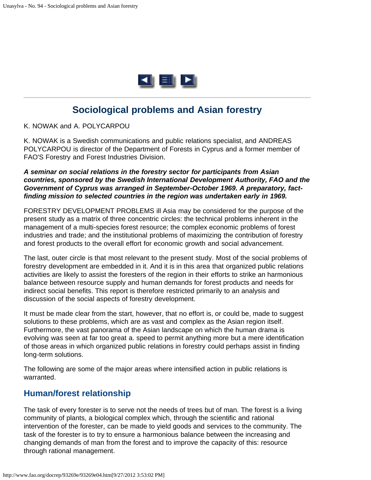

# **Sociological problems and Asian forestry**

K. NOWAK and A. POLYCARPOU

K. NOWAK is a Swedish communications and public relations specialist, and ANDREAS POLYCARPOU is director of the Department of Forests in Cyprus and a former member of FAO'S Forestry and Forest Industries Division.

*A seminar on social relations in the forestry sector for participants from Asian countries, sponsored by the Swedish International Development Authority, FAO and the Government of Cyprus was arranged in September-October 1969. A preparatory, factfinding mission to selected countries in the region was undertaken early in 1969.*

FORESTRY DEVELOPMENT PROBLEMS ill Asia may be considered for the purpose of the present study as a matrix of three concentric circles: the technical problems inherent in the management of a multi-species forest resource; the complex economic problems of forest industries and trade; and the institutional problems of maximizing the contribution of forestry and forest products to the overall effort for economic growth and social advancement.

The last, outer circle is that most relevant to the present study. Most of the social problems of forestry development are embedded in it. And it is in this area that organized public relations activities are likely to assist the foresters of the region in their efforts to strike an harmonious balance between resource supply and human demands for forest products and needs for indirect social benefits. This report is therefore restricted primarily to an analysis and discussion of the social aspects of forestry development.

It must be made clear from the start, however, that no effort is, or could be, made to suggest solutions to these problems, which are as vast and complex as the Asian region itself. Furthermore, the vast panorama of the Asian landscape on which the human drama is evolving was seen at far too great a. speed to permit anything more but a mere identification of those areas in which organized public relations in forestry could perhaps assist in finding long-term solutions.

The following are some of the major areas where intensified action in public relations is warranted.

#### **Human/forest relationship**

The task of every forester is to serve not the needs of trees but of man. The forest is a living community of plants, a biological complex which, through the scientific and rational intervention of the forester, can be made to yield goods and services to the community. The task of the forester is to try to ensure a harmonious balance between the increasing and changing demands of man from the forest and to improve the capacity of this: resource through rational management.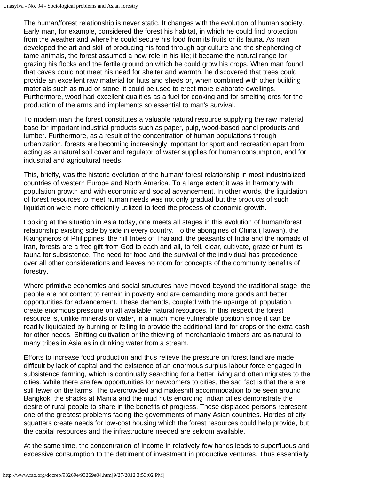The human/forest relationship is never static. It changes with the evolution of human society. Early man, for example, considered the forest his habitat, in which he could find protection from the weather and where he could secure his food from its fruits or its fauna. As man developed the art and skill of producing his food through agriculture and the shepherding of tame animals, the forest assumed a new role in his life; it became the natural range for grazing his flocks and the fertile ground on which he could grow his crops. When man found that caves could not meet his need for shelter and warmth, he discovered that trees could provide an excellent raw material for huts and sheds or, when combined with other building materials such as mud or stone, it could be used to erect more elaborate dwellings. Furthermore, wood had excellent qualities as a fuel for cooking and for smelting ores for the production of the arms and implements so essential to man's survival.

To modern man the forest constitutes a valuable natural resource supplying the raw material base for important industrial products such as paper, pulp, wood-based panel products and lumber. Furthermore, as a result of the concentration of human populations through urbanization, forests are becoming increasingly important for sport and recreation apart from acting as a natural soil cover and regulator of water supplies for human consumption, and for industrial and agricultural needs.

This, briefly, was the historic evolution of the human/ forest relationship in most industrialized countries of western Europe and North America. To a large extent it was in harmony with population growth and with economic and social advancement. In other words, the liquidation of forest resources to meet human needs was not only gradual but the products of such liquidation were more efficiently utilized to feed the process of economic growth.

Looking at the situation in Asia today, one meets all stages in this evolution of human/forest relationship existing side by side in every country. To the aborigines of China (Taiwan), the Kiaingineros of Philippines, the hill tribes of Thailand, the peasants of India and the nomads of Iran, forests are a free gift from God to each and all, to fell, clear, cultivate, graze or hunt its fauna for subsistence. The need for food and the survival of the individual has precedence over all other considerations and leaves no room for concepts of the community benefits of forestry.

Where primitive economies and social structures have moved beyond the traditional stage, the people are not content to remain in poverty and are demanding more goods and better opportunities for advancement. These demands, coupled with the upsurge of' population, create enormous pressure on all available natural resources. In this respect the forest resource is, unlike minerals or water, in a much more vulnerable position since it can be readily liquidated by burning or felling to provide the additional land for crops or the extra cash for other needs. Shifting cultivation or the thieving of merchantable timbers are as natural to many tribes in Asia as in drinking water from a stream.

Efforts to increase food production and thus relieve the pressure on forest land are made difficult by lack of capital and the existence of an enormous surplus labour force engaged in subsistence farming, which is continually searching for a better living and often migrates to the cities. While there are few opportunities for newcomers to cities, the sad fact is that there are still fewer on the farms. The overcrowded and makeshift accommodation to be seen around Bangkok, the shacks at Manila and the mud huts encircling Indian cities demonstrate the desire of rural people to share in the benefits of progress. These displaced persons represent one of the greatest problems facing the governments of many Asian countries. Hordes of city squatters create needs for low-cost housing which the forest resources could help provide, but the capital resources and the infrastructure needed are seldom available.

At the same time, the concentration of income in relatively few hands leads to superfluous and excessive consumption to the detriment of investment in productive ventures. Thus essentially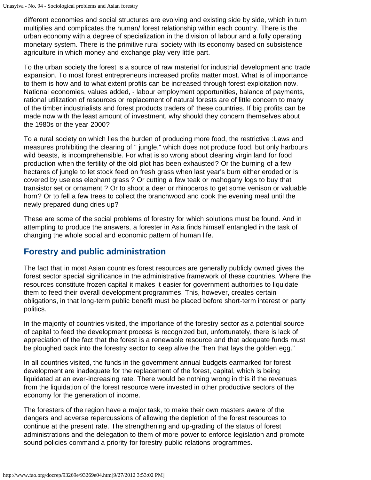different economies and social structures are evolving and existing side by side, which in turn multiplies and complicates the human/ forest relationship within each country. There is the urban economy with a degree of specialization in the division of labour and a fully operating monetary system. There is the primitive rural society with its economy based on subsistence agriculture in which money and exchange play very little part.

To the urban society the forest is a source of raw material for industrial development and trade expansion. To most forest entrepreneurs increased profits matter most. What is of importance to them is how and to what extent profits can be increased through forest exploitation now. National economies, values added, - labour employment opportunities, balance of payments, rational utilization of resources or replacement of natural forests are of little concern to many of the timber industrialists and forest products traders of' these countries. If big profits can be made now with the least amount of investment, why should they concern themselves about the 1980s or the year 2000?

To a rural society on which lies the burden of producing more food, the restrictive :Laws and measures prohibiting the clearing of " jungle," which does not produce food. but only harbours wild beasts, is incomprehensible. For what is so wrong about clearing virgin land for food production when the fertility of the old plot has been exhausted? Or the burning of a few hectares of jungle to let stock feed on fresh grass when last year's burn either eroded or is covered by useless elephant grass ? Or cutting a few teak or mahogany logs to buy that transistor set or ornament ? Or to shoot a deer or rhinoceros to get some venison or valuable horn? Or to fell a few trees to collect the branchwood and cook the evening meal until the newly prepared dung dries up?

These are some of the social problems of forestry for which solutions must be found. And in attempting to produce the answers, a forester in Asia finds himself entangled in the task of changing the whole social and economic pattern of human life.

#### **Forestry and public administration**

The fact that in most Asian countries forest resources are generally publicly owned gives the forest sector special significance in the administrative framework of these countries. Where the resources constitute frozen capital it makes it easier for government authorities to liquidate them to feed their overall development programmes. This, however, creates certain obligations, in that long-term public benefit must be placed before short-term interest or party politics.

In the majority of countries visited, the importance of the forestry sector as a potential source of capital to feed the development process is recognized but, unfortunately, there is lack of appreciation of the fact that the forest is a renewable resource and that adequate funds must be ploughed back into the forestry sector to keep alive the "hen that lays the golden egg."

In all countries visited, the funds in the government annual budgets earmarked for forest development are inadequate for the replacement of the forest, capital, which is being liquidated at an ever-increasing rate. There would be nothing wrong in this if the revenues from the liquidation of the forest resource were invested in other productive sectors of the economy for the generation of income.

The foresters of the region have a major task, to make their own masters aware of the dangers and adverse repercussions of allowing the depletion of the forest resources to continue at the present rate. The strengthening and up-grading of the status of forest administrations and the delegation to them of more power to enforce legislation and promote sound policies command a priority for forestry public relations programmes.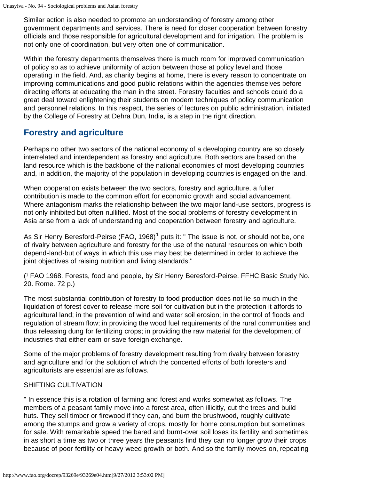Similar action is also needed to promote an understanding of forestry among other government departments and services. There is need for closer cooperation between forestry officials and those responsible for agricultural development and for irrigation. The problem is not only one of coordination, but very often one of communication.

Within the forestry departments themselves there is much room for improved communication of policy so as to achieve uniformity of action between those at policy level and those operating in the field. And, as charity begins at home, there is every reason to concentrate on improving communications and good public relations within the agencies themselves before directing efforts at educating the man in the street. Forestry faculties and schools could do a great deal toward enlightening their students on modern techniques of policy communication and personnel relations. In this respect, the series of lectures on public administration, initiated by the College of Forestry at Dehra Dun, India, is a step in the right direction.

#### **Forestry and agriculture**

Perhaps no other two sectors of the national economy of a developing country are so closely interrelated and interdependent as forestry and agriculture. Both sectors are based on the land resource which is the backbone of the national economies of most developing countries and, in addition, the majority of the population in developing countries is engaged on the land.

When cooperation exists between the two sectors, forestry and agriculture, a fuller contribution is made to the common effort for economic growth and social advancement. Where antagonism marks the relationship between the two major land-use sectors, progress is not only inhibited but often nullified. Most of the social problems of forestry development in Asia arise from a lack of understanding and cooperation between forestry and agriculture.

As Sir Henry Beresford-Peirse (FAO, 1968)<sup>1</sup> puts it: " The issue is not, or should not be, one of rivalry between agriculture and forestry for the use of the natural resources on which both depend-land-but of ways in which this use may best be determined in order to achieve the joint objectives of raising nutrition and living standards."

(<sup>1</sup> FAO 1968. Forests, food and people, by Sir Henry Beresford-Peirse. FFHC Basic Study No. 20. Rome. 72 p.)

The most substantial contribution of forestry to food production does not lie so much in the liquidation of forest cover to release more soil for cultivation but in the protection it affords to agricultural land; in the prevention of wind and water soil erosion; in the control of floods and regulation of stream flow; in providing the wood fuel requirements of the rural communities and thus releasing dung for fertilizing crops; in providing the raw material for the development of industries that either earn or save foreign exchange.

Some of the major problems of forestry development resulting from rivalry between forestry and agriculture and for the solution of which the concerted efforts of both foresters and agriculturists are essential are as follows.

#### SHIFTING CULTIVATION

" In essence this is a rotation of farming and forest and works somewhat as follows. The members of a peasant family move into a forest area, often illicitly, cut the trees and build huts. They sell timber or firewood if they can, and burn the brushwood, roughly cultivate among the stumps and grow a variety of crops, mostly for home consumption but sometimes for sale. With remarkable speed the bared and burnt-over soil loses its fertility and sometimes in as short a time as two or three years the peasants find they can no longer grow their crops because of poor fertility or heavy weed growth or both. And so the family moves on, repeating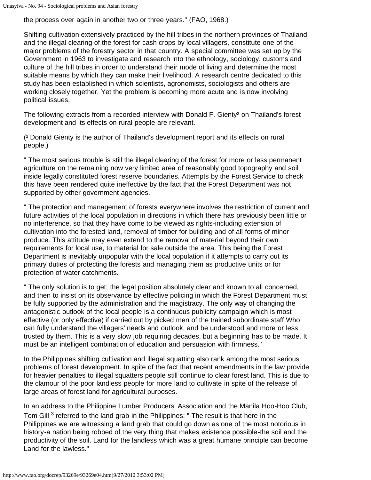the process over again in another two or three years." (FAO, 1968.)

Shifting cultivation extensively practiced by the hill tribes in the northern provinces of Thailand, and the illegal clearing of the forest for cash crops by local villagers, constitute one of the major problems of the forestry sector in that country. A special committee was set up by the Government in 1963 to investigate and research into the ethnology, sociology, customs and culture of the hill tribes in order to understand their mode of living and determine the most suitable means by which they can make their livelihood. A research centre dedicated to this study has been established in which scientists, agronomists, sociologists and others are working closely together. Yet the problem is becoming more acute and is now involving political issues.

The following extracts from a recorded interview with Donald F. Gienty² on Thailand's forest development and its effects on rural people are relevant.

(² Donald Gienty is the author of Thailand's development report and its effects on rural people.)

" The most serious trouble is still the illegal clearing of the forest for more or less permanent agriculture on the remaining now very limited area of reasonably good topography and soil inside legally constituted forest reserve boundaries. Attempts by the Forest Service to check this have been rendered quite ineffective by the fact that the Forest Department was not supported by other government agencies.

" The protection and management of forests everywhere involves the restriction of current and future activities of the local population in directions in which there has previously been little or no interference, so that they have come to be viewed as rights-including extension of cultivation into the forested land, removal of timber for building and of all forms of minor produce. This attitude may even extend to the removal of material beyond their own requirements for local use, to material for sale outside the area. This being the Forest Department is inevitably unpopular with the local population if it attempts to carry out its primary duties of protecting the forests and managing them as productive units or for protection of water catchments.

" The only solution is to get; the legal position absolutely clear and known to all concerned, and then to insist on its observance by effective policing in which the Forest Department must be fully supported by the administration and the magistracy. The only way of changing the antagonistic outlook of the local people is a continuous publicity campaign which is most effective (or only effective) if carried out by picked men of the trained subordinate staff Who can fully understand the villagers' needs and outlook, and be understood and more or less trusted by them. This is a very slow job requiring decades, but a beginning has to be made. It must be an intelligent combination of education and persuasion with firmness."

In the Philippines shifting cultivation and illegal squatting also rank among the most serious problems of forest development. In spite of the fact that recent amendments in the law provide for heavier penalties to illegal squatters people still continue to clear forest land. This is due to the clamour of the poor landless people for more land to cultivate in spite of the release of large areas of forest land for agricultural purposes.

In an address to the Philippine Lumber Producers' Association and the Manila Hoo-Hoo Club, Tom Gill <sup>3</sup> referred to the land grab in the Philippines: " The result is that here in the Philippines we are witnessing a land grab that could go down as one of the most notorious in history-a nation being robbed of the very thing that makes existence possible-the soil and the productivity of the soil. Land for the landless which was a great humane principle can become Land for the lawless."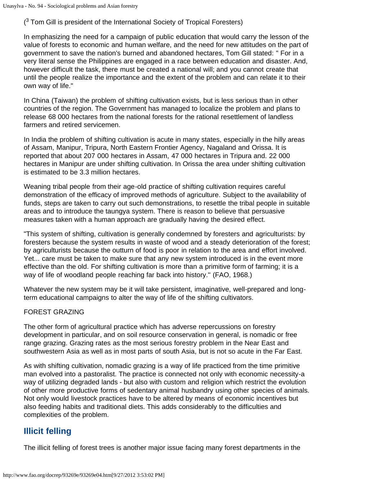$(3$  Tom Gill is president of the International Society of Tropical Foresters)

In emphasizing the need for a campaign of public education that would carry the lesson of the value of forests to economic and human welfare, and the need for new attitudes on the part of government to save the nation's burned and abandoned hectares, Tom Gill stated: " For in a very literal sense the Philippines are engaged in a race between education and disaster. And, however difficult the task, there must be created a national will; and you cannot create that until the people realize the importance and the extent of the problem and can relate it to their own way of life."

In China (Taiwan) the problem of shifting cultivation exists, but is less serious than in other countries of the region. The Government has managed to localize the problem and plans to release 68 000 hectares from the national forests for the rational resettlement of landless farmers and retired servicemen.

In India the problem of shifting cultivation is acute in many states, especially in the hilly areas of Assam, Manipur, Tripura, North Eastern Frontier Agency, Nagaland and Orissa. It is reported that about 207 000 hectares in Assam, 47 000 hectares in Tripura and. 22 000 hectares in Manipur are under shifting cultivation. In Orissa the area under shifting cultivation is estimated to be 3.3 million hectares.

Weaning tribal people from their age-old practice of shifting cultivation requires careful demonstration of the efficacy of improved methods of agriculture. Subject to the availability of funds, steps are taken to carry out such demonstrations, to resettle the tribal people in suitable areas and to introduce the taungya system. There is reason to believe that persuasive measures taken with a human approach are gradually having the desired effect.

"This system of shifting, cultivation is generally condemned by foresters and agriculturists: by foresters because the system results in waste of wood and a steady deterioration of the forest; by agriculturists because the outturn of food is poor in relation to the area and effort involved. Yet... care must be taken to make sure that any new system introduced is in the event more effective than the old. For shifting cultivation is more than a primitive form of farming; it is a way of life of woodland people reaching far back into history.'' (FAO, 1968.)

Whatever the new system may be it will take persistent, imaginative, well-prepared and longterm educational campaigns to alter the way of life of the shifting cultivators.

#### FOREST GRAZING

The other form of agricultural practice which has adverse repercussions on forestry development in particular, and on soil resource conservation in general, is nomadic or free range grazing. Grazing rates as the most serious forestry problem in the Near East and southwestern Asia as well as in most parts of south Asia, but is not so acute in the Far East.

As with shifting cultivation, nomadic grazing is a way of life practiced from the time primitive man evolved into a pastoralist. The practice is connected not only with economic necessity-a way of utilizing degraded lands - but also with custom and religion which restrict the evolution of other more productive forms of sedentary animal husbandry using other species of animals. Not only would livestock practices have to be altered by means of economic incentives but also feeding habits and traditional diets. This adds considerably to the difficulties and complexities of the problem.

## **Illicit felling**

The illicit felling of forest trees is another major issue facing many forest departments in the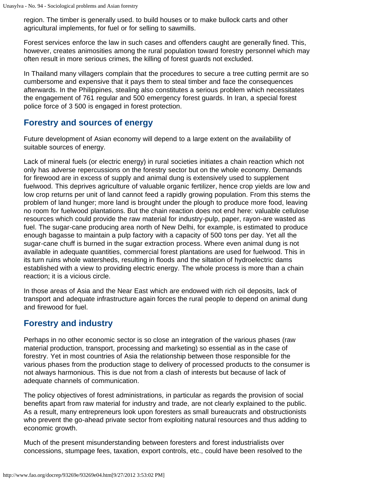region. The timber is generally used. to build houses or to make bullock carts and other agricultural implements, for fuel or for selling to sawmills.

Forest services enforce the law in such cases and offenders caught are generally fined. This, however, creates animosities among the rural population toward forestry personnel which may often result in more serious crimes, the killing of forest guards not excluded.

In Thailand many villagers complain that the procedures to secure a tree cutting permit are so cumbersome and expensive that it pays them to steal timber and face the consequences afterwards. In the Philippines, stealing also constitutes a serious problem which necessitates the engagement of 761 regular and 500 emergency forest guards. In Iran, a special forest police force of 3 500 is engaged in forest protection.

#### **Forestry and sources of energy**

Future development of Asian economy will depend to a large extent on the availability of suitable sources of energy.

Lack of mineral fuels (or electric energy) in rural societies initiates a chain reaction which not only has adverse repercussions on the forestry sector but on the whole economy. Demands for firewood are in excess of supply and animal dung is extensively used to supplement fuelwood. This deprives agriculture of valuable organic fertilizer, hence crop yields are low and low crop returns per unit of land cannot feed a rapidly growing population. From this stems the problem of land hunger; more land is brought under the plough to produce more food, leaving no room for fuelwood plantations. But the chain reaction does not end here: valuable cellulose resources which could provide the raw material for industry-pulp, paper, rayon-are wasted as fuel. The sugar-cane producing area north of New Delhi, for example, is estimated to produce enough bagasse to maintain a pulp factory with a capacity of 500 tons per day. Yet all the sugar-cane chuff is burned in the sugar extraction process. Where even animal dung is not available in adequate quantities, commercial forest plantations are used for fuelwood. This in its turn ruins whole watersheds, resulting in floods and the siltation of hydroelectric dams established with a view to providing electric energy. The whole process is more than a chain reaction; it is a vicious circle.

In those areas of Asia and the Near East which are endowed with rich oil deposits, lack of transport and adequate infrastructure again forces the rural people to depend on animal dung and firewood for fuel.

## **Forestry and industry**

Perhaps in no other economic sector is so close an integration of the various phases (raw material production, transport, processing and marketing) so essential as in the case of forestry. Yet in most countries of Asia the relationship between those responsible for the various phases from the production stage to delivery of processed products to the consumer is not always harmonious. This is due not from a clash of interests but because of lack of adequate channels of communication.

The policy objectives of forest administrations, in particular as regards the provision of social benefits apart from raw material for industry and trade, are not clearly explained to the public. As a result, many entrepreneurs look upon foresters as small bureaucrats and obstructionists who prevent the go-ahead private sector from exploiting natural resources and thus adding to economic growth.

Much of the present misunderstanding between foresters and forest industrialists over concessions, stumpage fees, taxation, export controls, etc., could have been resolved to the